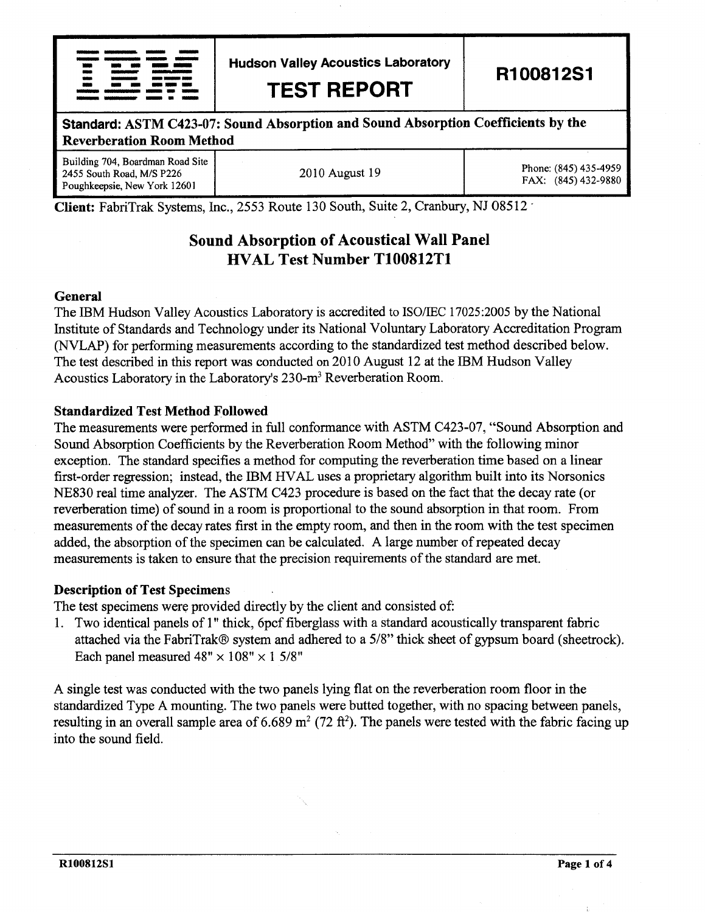| <u> 1984 - Januara Maria Maria</u>                                                                         |                                                                                                                  |   |                                    |  |
|------------------------------------------------------------------------------------------------------------|------------------------------------------------------------------------------------------------------------------|---|------------------------------------|--|
| <u> Kanada ay ara-daharanjari</u>                                                                          |                                                                                                                  | ۰ | <b><i>COMMUNIST VIOLENCERS</i></b> |  |
| $\sim$                                                                                                     |                                                                                                                  |   | and and more administration        |  |
| $\sim$                                                                                                     | and the company of the company of the company of the company of the company of the company of the company of the |   |                                    |  |
| . .                                                                                                        | النائبة والتقسيل ويربب المتنا المتناسبات المتحدة المتحدة                                                         |   |                                    |  |
| ≖                                                                                                          |                                                                                                                  |   |                                    |  |
| tanguage and the contract service and an exception                                                         |                                                                                                                  |   |                                    |  |
| <u> 1980 - Maria American de Santo de Santo de Santo de Santo de Santo de Santo de Santo de Santo de S</u> |                                                                                                                  |   |                                    |  |

Hudson Valley Acoustics Laboratory

TEST REPORT

R100812S1

## Standard: ASTM C423-07: Sound Absorption and Sound Absorption Coefficients by the Reverberation Room Method

Building 704, Boardman Road Site 2455 South Road, M/S P226 Poughkeepsie, New York 12601

2010 August 19 Phone: (845) 435-4959 FAX: (845) 432-9880

Client: FabriTrak Systems, Inc., 2553 Route 130 South, Suite 2, Cranbury, NJ 08512

# Sound Absorption of Acoustical Wall Panel HVAL Test Number T100812T1

#### General

The IBM Hudson Valley Acoustics Laboratory is accredited to ISO/IEC 17025:2005 by the National lnstitute of Standards and Technology under its National Voluntary Laboratory Accreditation Program (NVLAP) for performing measurements according to the standardized test method described below. The test described in this report was conducted on 2010 August 12 at the IBM Hudson Valley Acoustics Laboratory in the Laboratory's 230-m<sup>3</sup> Reverberation Room.

### Standardized Test Method Followed

The measurements were performed in full conformance with ASTM C423-07, "Sound Absorption and Sound Absorption Coefficients by the Reverberation Room Method" with the following minor exception. The standard specifies a method for computing the reverberation time based on a linear first-order regression; instead, the IBM HVAL uses a proprietary algorithm built into its Norsonics N8830 real time analyzer. The ASTM C423 procedure is based on the fact that the decay rate (or reverberation time) of sound in a room is proportional to the sound absorption in that room. From measurements of the decay rates first in the empty room, and then in the room with the test specimen added, the absorption of the specimen can be calculated. A large number of repeated decay measurements is taken to ensure that the precision requirements of the standard are met.

#### Description of Test Specimens

The test specimens were provided directly by the client and consisted of:

t. Two identical panels of 1" thick, 6pcf fiberglass with a standard acoustically transparent fabric attached via the FabriTrak@ system and adhered to a 5/8" thick sheet of gypsum board (sheetrock). Each panel measured  $48" \times 108" \times 15/8"$ 

A single test was conducted with the two panels lying flat on the reverberation room floor in the standardized Type A mounting. The two panels were butted together, with no spacing between panels, resulting in an overall sample area of 6.689 m<sup>2</sup> (72 ft<sup>2</sup>). The panels were tested with the fabric facing up into the sound field.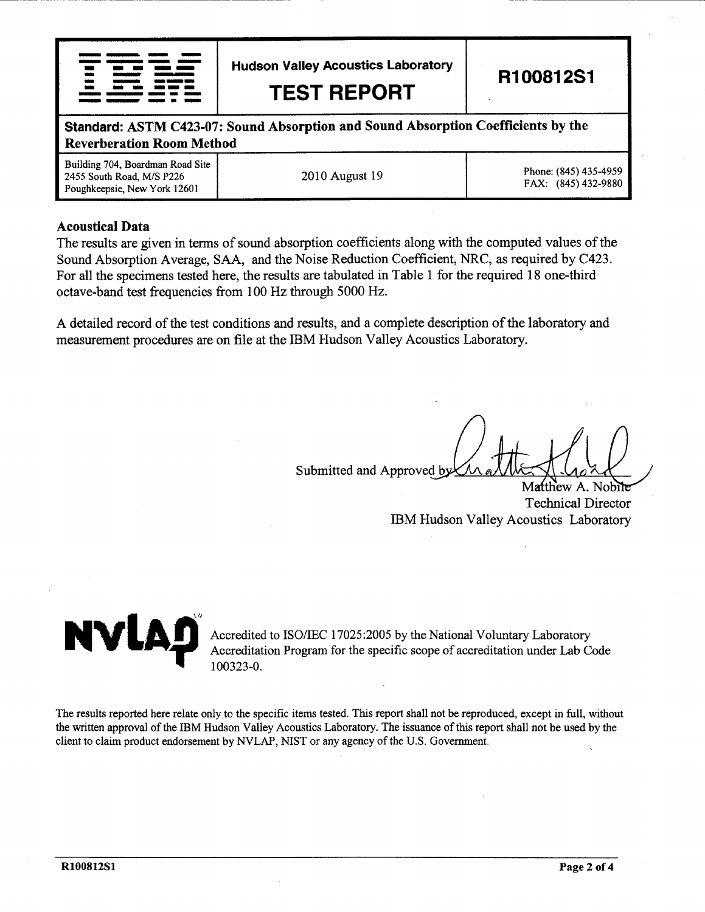|     | ing and an international contribution and an international |  |
|-----|------------------------------------------------------------|--|
|     | ويستقلن ويسي وينفس وينفسن وينفس                            |  |
|     |                                                            |  |
|     | thing advertising the community of the continuum.          |  |
|     |                                                            |  |
| . . |                                                            |  |
|     | <u> Tanzanismum www. 1999 (1999 – 1999)</u>                |  |
|     |                                                            |  |

Hudson Valley Acoustics Laboratory

TEST REPORT

R100812S1

**Standard: ASTM C423-07: Sound Absorption and Sound Absorption Coefficients by the** -a Reverberation Room Method

Building 704, Boardman Road Site 2455 South Road, M/S P226 Poughkeepsie, New York 12601 2010 August 19 Phone: (845) 435-4959

FAX: (845) 432-9880

### Acoustical Data

The results are given in terms of sound absorption coefficients along with the computed values of the Sound Absorption Average, SAA, and the Noise Reduction Coefficient, NRC, as required by C423. For all the specimens tested here, the resuits are tabulated in Table I for the required 18 one-third octave-band test frequencies from 100 Hz through 5000 Hz.

A detailed record of the test conditions and results, and a complete description of the laboratory and measurement procedures are on file at the IBM Hudson Valley Acoustics Laboratory.

Submitted and Approved by

Matthew A. Nobile Technical Director IBM Hudson Valley Acoustics Laboratory



Accredited to ISO/IEC 17025:2005 by the National Voluntary Laboratory Accreditation Program for the specific scope of accreditation under Lab Code 100323-0.

The results reported here relate only to the specific items tested. This report shall not be reproduced, except in full, without the written approval of the IBM Hudson Valley Acoustics Laboratory. The issuance of this report shall not be used by the client to claim product endorsement by NVLAP, NIST or any agency of the U.S. Government.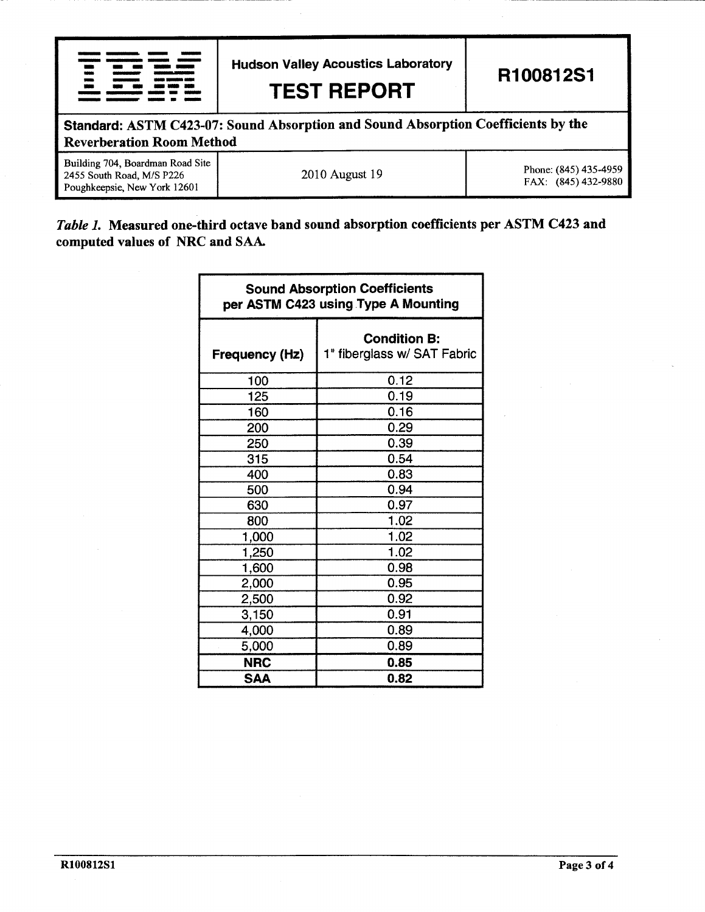| <b>Hudson Valley Acoustics Laboratory</b><br><b>TEST REPORT</b>                                                       |                | R100812S1                                    |  |  |
|-----------------------------------------------------------------------------------------------------------------------|----------------|----------------------------------------------|--|--|
| Standard: ASTM C423-07: Sound Absorption and Sound Absorption Coefficients by the<br><b>Reverberation Room Method</b> |                |                                              |  |  |
| Building 704, Boardman Road Site<br>2455 South Road, M/S P226<br>Poughkeepsie, New York 12601                         | 2010 August 19 | Phone: (845) 435-4959<br>FAX: (845) 432-9880 |  |  |

# Table 1. Measured one-third octave band sound absorption coefficients per ASTM C423 and computed values of NRC and SAA.

| <b>Sound Absorption Coefficients</b><br>per ASTM C423 using Type A Mounting |                                                    |  |  |
|-----------------------------------------------------------------------------|----------------------------------------------------|--|--|
| <b>Frequency (Hz)</b>                                                       | <b>Condition B:</b><br>1" fiberglass w/ SAT Fabric |  |  |
| 100                                                                         | 0.12                                               |  |  |
| 125                                                                         | 0.19                                               |  |  |
| 160                                                                         | 0.16                                               |  |  |
| 200                                                                         | 0.29                                               |  |  |
| 250                                                                         | 0.39                                               |  |  |
| 315                                                                         | 0.54                                               |  |  |
| 400                                                                         | 0.83                                               |  |  |
| 500                                                                         | 0.94                                               |  |  |
| 630                                                                         | 0.97                                               |  |  |
| 800                                                                         | 1.02                                               |  |  |
| 1,000                                                                       | 1.02                                               |  |  |
| 1,250                                                                       | 1.02                                               |  |  |
| 1,600                                                                       | 0.98                                               |  |  |
| 2,000                                                                       | 0.95                                               |  |  |
| 2,500                                                                       | 0.92                                               |  |  |
| 3,150                                                                       | 0.91                                               |  |  |
| 4,000                                                                       | 0.89                                               |  |  |
| 5,000                                                                       | 0.89                                               |  |  |
| <b>NRC</b>                                                                  | 0.85                                               |  |  |
| <b>SAA</b>                                                                  | 0.82                                               |  |  |